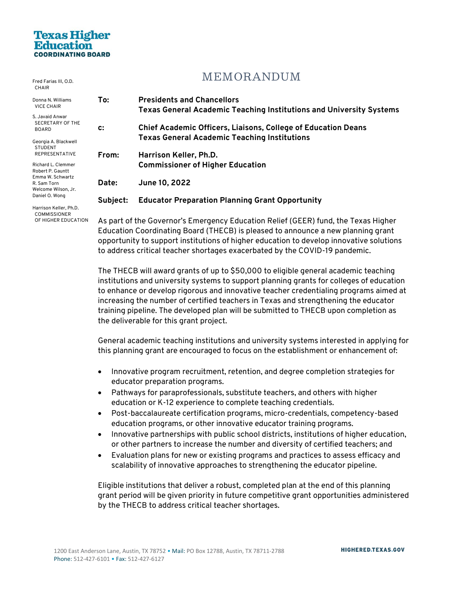# **Texas Higher**

Fred Farias III, O.D.

## **MEMORANDUM**

| CHAIR                                                      |                                                                                   |                                                                                                                 |
|------------------------------------------------------------|-----------------------------------------------------------------------------------|-----------------------------------------------------------------------------------------------------------------|
| Donna N. Williams<br><b>VICE CHAIR</b>                     | To:                                                                               | <b>Presidents and Chancellors</b><br><b>Texas General Academic Teaching Institutions and University Systems</b> |
| S. Javaid Anwar<br>SECRETARY OF THE<br><b>BOARD</b>        | c:                                                                                | <b>Chief Academic Officers, Liaisons, College of Education Deans</b>                                            |
| Georgia A. Blackwell<br>STUDENT                            |                                                                                   | <b>Texas General Academic Teaching Institutions</b>                                                             |
| <b>REPRESENTATIVE</b>                                      | From:                                                                             | Harrison Keller, Ph.D.                                                                                          |
| Richard L. Clemmer<br>Robert P. Gauntt<br>Emma W. Schwartz |                                                                                   | <b>Commissioner of Higher Education</b>                                                                         |
| R. Sam Torn<br>Welcome Wilson, Jr.                         | Date:                                                                             | June 10, 2022                                                                                                   |
| Daniel O. Wong                                             | Subject:                                                                          | <b>Educator Preparation Planning Grant Opportunity</b>                                                          |
| Harrison Keller, Ph.D.<br><b>COMMISSIONER</b>              |                                                                                   |                                                                                                                 |
| OF HIGHER EDUCATION                                        | As part of the Governor's Emergency Education Relief (GEER) fund the Texas Higher |                                                                                                                 |

As part of the Governor's Emergency Education Relief (GEER) fund, the Texas Higher Education Coordinating Board (THECB) is pleased to announce a new planning grant opportunity to support institutions of higher education to develop innovative solutions to address critical teacher shortages exacerbated by the COVID-19 pandemic.

The THECB will award grants of up to \$50,000 to eligible general academic teaching institutions and university systems to support planning grants for colleges of education to enhance or develop rigorous and innovative teacher credentialing programs aimed at increasing the number of certified teachers in Texas and strengthening the educator training pipeline. The developed plan will be submitted to THECB upon completion as the deliverable for this grant project.

General academic teaching institutions and university systems interested in applying for this planning grant are encouraged to focus on the establishment or enhancement of:

- Innovative program recruitment, retention, and degree completion strategies for educator preparation programs.
- Pathways for paraprofessionals, substitute teachers, and others with higher education or K-12 experience to complete teaching credentials.
- Post-baccalaureate certification programs, micro-credentials, competency-based education programs, or other innovative educator training programs.
- Innovative partnerships with public school districts, institutions of higher education, or other partners to increase the number and diversity of certified teachers; and
- Evaluation plans for new or existing programs and practices to assess efficacy and scalability of innovative approaches to strengthening the educator pipeline.

Eligible institutions that deliver a robust, completed plan at the end of this planning grant period will be given priority in future competitive grant opportunities administered by the THECB to address critical teacher shortages.